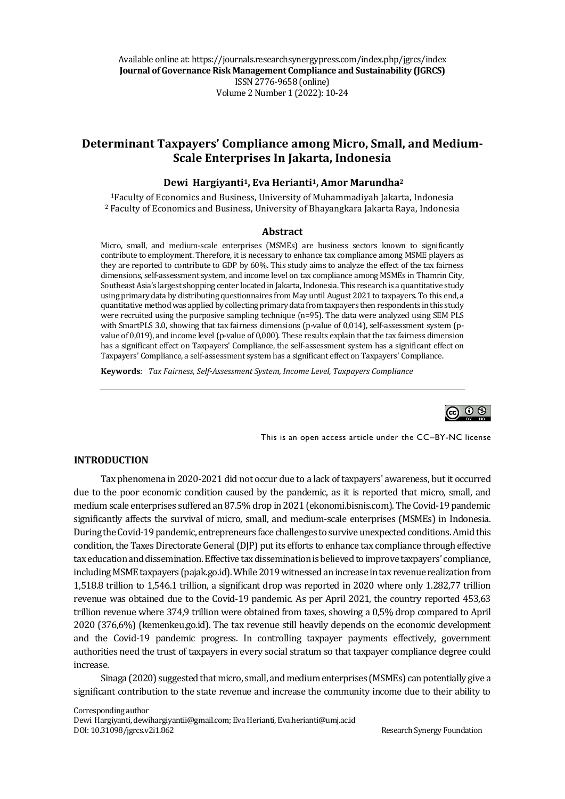Available online at: https://journals.researchsynergypress.com/index.php/jgrcs/index **Journal of Governance Risk Management Compliance and Sustainability (JGRCS)** ISSN 2776-9658 (online) Volume 2Number 1 (2022): 10-24

# **Determinant Taxpayers' Compliance among Micro, Small, and Medium-Scale Enterprises In Jakarta, Indonesia**

#### **Dewi Hargiyanti1, Eva Herianti1, Amor Marundha<sup>2</sup>**

<sup>1</sup>Faculty of Economics and Business, University of Muhammadiyah Jakarta, Indonesia <sup>2</sup> Faculty of Economics and Business, University of Bhayangkara Jakarta Raya, Indonesia

#### **Abstract**

Micro, small, and medium-scale enterprises (MSMEs) are business sectors known to significantly contribute to employment. Therefore, it is necessary to enhance tax compliance among MSME players as they are reported to contribute to GDP by 60%. This study aims to analyze the effect of the tax fairness dimensions, self-assessment system, and income level on tax compliance among MSMEs in Thamrin City, Southeast Asia's largest shopping center located in Jakarta, Indonesia. This research is a quantitative study using primary data by distributing questionnaires from May until August 2021 to taxpayers. To this end, a quantitative method was applied by collecting primary data from taxpayers then respondents in this study were recruited using the purposive sampling technique (n=95). The data were analyzed using SEM PLS with SmartPLS 3.0, showing that tax fairness dimensions (p-value of 0,014), self-assessment system (pvalue of 0,019), and income level (p-value of 0,000). These results explain that the tax fairness dimension has a significant effect on Taxpayers' Compliance, the self-assessment system has a significant effect on Taxpayers' Compliance, a self-assessment system has a significant effect on Taxpayers' Compliance.

**Keywords**: *Tax Fairness, Self-Assessment System, Income Level, Taxpayers Compliance*



This is an open access article under the CC–BY-NC license

#### **INTRODUCTION**

Tax phenomena in 2020-2021 did not occur due to a lack of taxpayers' awareness, but it occurred due to the poor economic condition caused by the pandemic, as it is reported that micro, small, and medium scale enterprises suffered an 87.5% drop in 2021 (ekonomi.bisnis.com). The Covid-19 pandemic significantly affects the survival of micro, small, and medium-scale enterprises (MSMEs) in Indonesia. During the Covid-19 pandemic, entrepreneurs face challenges to survive unexpected conditions. Amid this condition, the Taxes Directorate General (DJP) put its efforts to enhance tax compliance through effective tax education and dissemination. Effective tax dissemination is believed to improve taxpayers' compliance, including MSME taxpayers (pajak.go.id). While 2019 witnessed an increase in tax revenue realization from 1,518.8 trillion to 1,546.1 trillion, a significant drop was reported in 2020 where only 1.282,77 trillion revenue was obtained due to the Covid-19 pandemic. As per April 2021, the country reported 453,63 trillion revenue where 374,9 trillion were obtained from taxes, showing a 0,5% drop compared to April 2020 (376,6%) (kemenkeu.go.id). The tax revenue still heavily depends on the economic development and the Covid-19 pandemic progress. In controlling taxpayer payments effectively, government authorities need the trust of taxpayers in every social stratum so that taxpayer compliance degree could increase.

Sinaga (2020) suggested that micro, small, and medium enterprises (MSMEs) can potentially give a significant contribution to the state revenue and increase the community income due to their ability to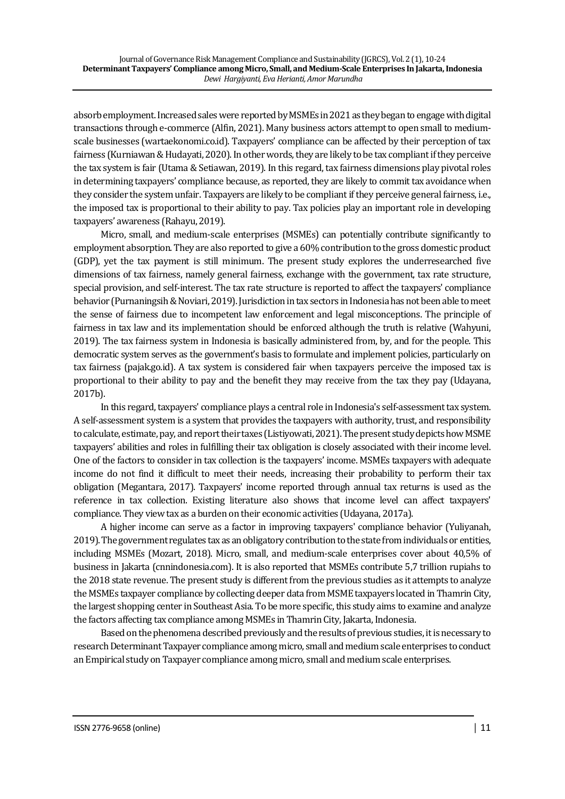absorb employment. Increased sales were reported by MSMEs in 2021 as they began to engage with digital transactions through e-commerce (Alfin, 2021). Many business actors attempt to open small to mediumscale businesses (wartaekonomi.co.id). Taxpayers' compliance can be affected by their perception of tax fairness (Kurniawan & Hudayati, 2020). In other words, they are likely to be tax compliant if they perceive the tax system is fair (Utama & Setiawan, 2019). In this regard, tax fairness dimensions play pivotal roles in determining taxpayers' compliance because, as reported, they are likely to commit tax avoidance when they consider the system unfair. Taxpayers are likely to be compliant if they perceive general fairness, i.e., the imposed tax is proportional to their ability to pay. Tax policies play an important role in developing taxpayers' awareness (Rahayu, 2019).

Micro, small, and medium-scale enterprises (MSMEs) can potentially contribute significantly to employment absorption. They are also reported to give a 60% contribution to the gross domestic product (GDP), yet the tax payment is still minimum. The present study explores the underresearched five dimensions of tax fairness, namely general fairness, exchange with the government, tax rate structure, special provision, and self-interest. The tax rate structure is reported to affect the taxpayers' compliance behavior (Purnaningsih & Noviari, 2019). Jurisdiction in tax sectors in Indonesia has not been able to meet the sense of fairness due to incompetent law enforcement and legal misconceptions. The principle of fairness in tax law and its implementation should be enforced although the truth is relative (Wahyuni, 2019). The tax fairness system in Indonesia is basically administered from, by, and for the people. This democratic system serves as the government's basis to formulate and implement policies, particularly on tax fairness (pajak.go.id). A tax system is considered fair when taxpayers perceive the imposed tax is proportional to their ability to pay and the benefit they may receive from the tax they pay (Udayana, 2017b).

In this regard, taxpayers' compliance plays a central role in Indonesia's self-assessment tax system. A self-assessment system is a system that provides the taxpayers with authority, trust, and responsibility to calculate, estimate, pay, and report their taxes (Listiyowati, 2021). The present study depicts how MSME taxpayers' abilities and roles in fulfilling their tax obligation is closely associated with their income level. One of the factors to consider in tax collection is the taxpayers' income. MSMEs taxpayers with adequate income do not find it difficult to meet their needs, increasing their probability to perform their tax obligation (Megantara, 2017). Taxpayers' income reported through annual tax returns is used as the reference in tax collection. Existing literature also shows that income level can affect taxpayers' compliance. They view tax as a burden on their economic activities (Udayana, 2017a).

A higher income can serve as a factor in improving taxpayers' compliance behavior (Yuliyanah, 2019). The government regulates tax as an obligatory contribution to the state from individuals or entities, including MSMEs (Mozart, 2018). Micro, small, and medium-scale enterprises cover about 40,5% of business in Jakarta (cnnindonesia.com). It is also reported that MSMEs contribute 5,7 trillion rupiahs to the 2018 state revenue. The present study is different from the previous studies as it attempts to analyze the MSMEs taxpayer compliance by collecting deeper data from MSME taxpayers located in Thamrin City, the largest shopping center in Southeast Asia. To be more specific, this study aims to examine and analyze the factors affecting tax compliance among MSMEs in Thamrin City, Jakarta, Indonesia.

Based on the phenomena described previously and the results of previous studies, it is necessary to research Determinant Taxpayer compliance among micro, small and medium scale enterprises to conduct an Empirical study on Taxpayer compliance among micro, small and medium scale enterprises.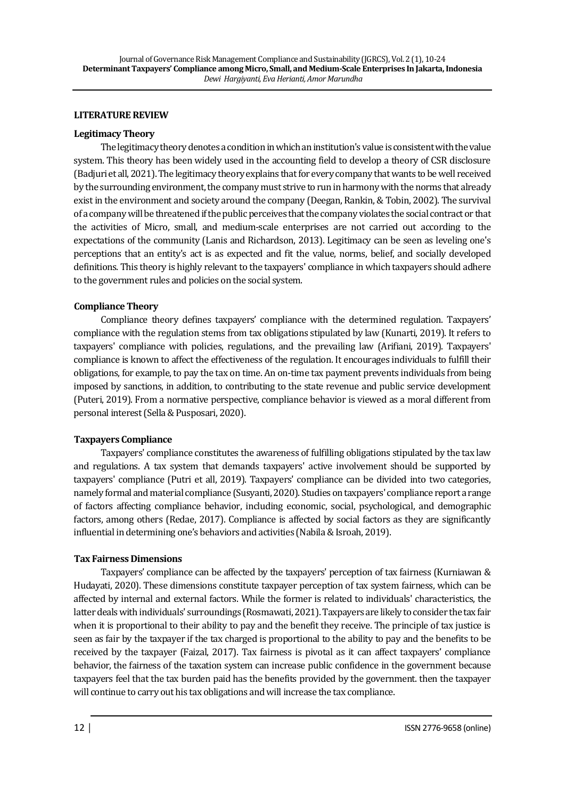### **LITERATURE REVIEW**

### **Legitimacy Theory**

The legitimacy theory denotes a condition in which an institution's value is consistent with the value system. This theory has been widely used in the accounting field to develop a theory of CSR disclosure (Badjuri et all, 2021). The legitimacy theory explains that for every company that wants to be well received by the surrounding environment, the company must strive to run in harmony with the norms that already exist in the environment and society around the company (Deegan, Rankin, & Tobin, 2002). The survival of a company will be threatened if the public perceives that the company violates the social contract or that the activities of Micro, small, and medium-scale enterprises are not carried out according to the expectations of the community (Lanis and Richardson, 2013). Legitimacy can be seen as leveling one's perceptions that an entity's act is as expected and fit the value, norms, belief, and socially developed definitions. This theory is highly relevant to the taxpayers' compliance in which taxpayers should adhere to the government rules and policies on the social system.

### **Compliance Theory**

Compliance theory defines taxpayers' compliance with the determined regulation. Taxpayers' compliance with the regulation stems from tax obligations stipulated by law (Kunarti, 2019). It refers to taxpayers' compliance with policies, regulations, and the prevailing law (Arifiani, 2019). Taxpayers' compliance is known to affect the effectiveness of the regulation. It encourages individuals to fulfill their obligations, for example, to pay the tax on time. An on-time tax payment prevents individuals from being imposed by sanctions, in addition, to contributing to the state revenue and public service development (Puteri, 2019). From a normative perspective, compliance behavior is viewed as a moral different from personal interest (Sella & Pusposari, 2020).

## **Taxpayers Compliance**

Taxpayers' compliance constitutes the awareness of fulfilling obligations stipulated by the tax law and regulations. A tax system that demands taxpayers' active involvement should be supported by taxpayers' compliance (Putri et all, 2019). Taxpayers' compliance can be divided into two categories, namely formal and material compliance (Susyanti, 2020). Studies on taxpayers' compliance report a range of factors affecting compliance behavior, including economic, social, psychological, and demographic factors, among others (Redae, 2017). Compliance is affected by social factors as they are significantly influential in determining one's behaviors and activities (Nabila & Isroah, 2019).

## **Tax Fairness Dimensions**

Taxpayers' compliance can be affected by the taxpayers' perception of tax fairness (Kurniawan & Hudayati, 2020). These dimensions constitute taxpayer perception of tax system fairness, which can be affected by internal and external factors. While the former is related to individuals' characteristics, the latter deals with individuals' surroundings (Rosmawati, 2021). Taxpayers are likely to consider the tax fair when it is proportional to their ability to pay and the benefit they receive. The principle of tax justice is seen as fair by the taxpayer if the tax charged is proportional to the ability to pay and the benefits to be received by the taxpayer (Faizal, 2017). Tax fairness is pivotal as it can affect taxpayers' compliance behavior, the fairness of the taxation system can increase public confidence in the government because taxpayers feel that the tax burden paid has the benefits provided by the government. then the taxpayer will continue to carry out his tax obligations and will increase the tax compliance.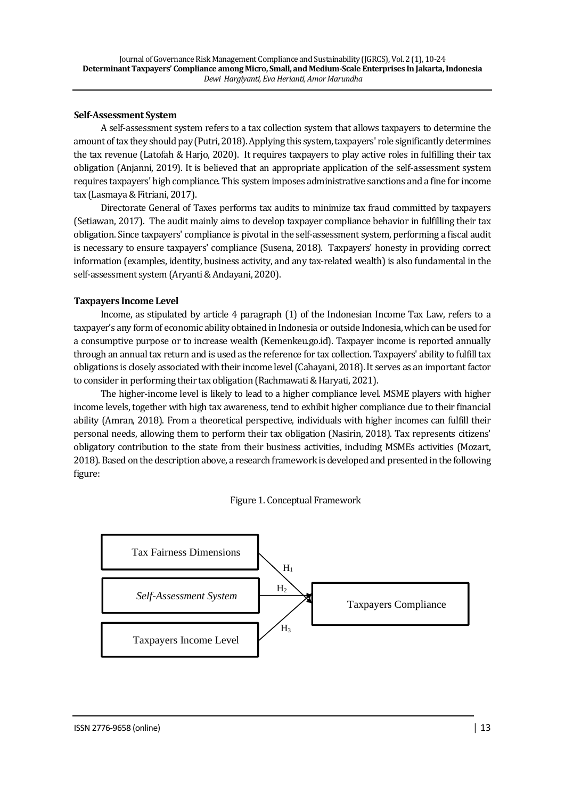### **Self-Assessment System**

A self-assessment system refers to a tax collection system that allows taxpayers to determine the amount of tax they should pay (Putri, 2018). Applying this system, taxpayers' role significantly determines the tax revenue (Latofah & Harjo, 2020). It requires taxpayers to play active roles in fulfilling their tax obligation (Anjanni, 2019). It is believed that an appropriate application of the self-assessment system requires taxpayers' high compliance. This system imposes administrative sanctions and a fine for income tax (Lasmaya & Fitriani, 2017).

Directorate General of Taxes performs tax audits to minimize tax fraud committed by taxpayers (Setiawan, 2017). The audit mainly aims to develop taxpayer compliance behavior in fulfilling their tax obligation. Since taxpayers' compliance is pivotal in the self-assessment system, performing a fiscal audit is necessary to ensure taxpayers' compliance (Susena, 2018). Taxpayers' honesty in providing correct information (examples, identity, business activity, and any tax-related wealth) is also fundamental in the self-assessment system (Aryanti & Andayani, 2020).

## **Taxpayers Income Level**

Income, as stipulated by article 4 paragraph (1) of the Indonesian Income Tax Law, refers to a taxpayer's any form of economic ability obtained in Indonesia or outside Indonesia, which can be used for a consumptive purpose or to increase wealth (Kemenkeu.go.id). Taxpayer income is reported annually through an annual tax return and is used as the reference for tax collection. Taxpayers' ability to fulfill tax obligations is closely associated with their income level (Cahayani, 2018). It serves as an important factor to consider in performing their tax obligation (Rachmawati & Haryati, 2021).

The higher-income level is likely to lead to a higher compliance level. MSME players with higher income levels, together with high tax awareness, tend to exhibit higher compliance due to their financial ability (Amran, 2018). From a theoretical perspective, individuals with higher incomes can fulfill their personal needs, allowing them to perform their tax obligation (Nasirin, 2018). Tax represents citizens' obligatory contribution to the state from their business activities, including MSMEs activities (Mozart, 2018). Based on the description above, a research framework is developed and presented in the following figure:

## Figure 1. Conceptual Framework

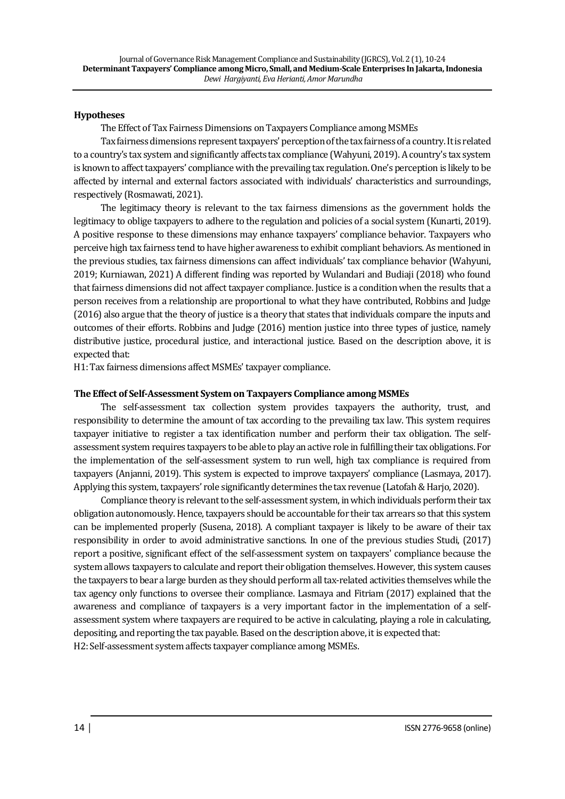#### **Hypotheses**

The Effect of Tax Fairness Dimensions on Taxpayers Compliance among MSMEs

Tax fairness dimensions represent taxpayers' perception of the tax fairness of a country. It is related to a country's tax system and significantly affects tax compliance (Wahyuni, 2019). A country's tax system is known to affect taxpayers' compliance with the prevailing tax regulation. One's perception is likely to be affected by internal and external factors associated with individuals' characteristics and surroundings, respectively (Rosmawati, 2021).

The legitimacy theory is relevant to the tax fairness dimensions as the government holds the legitimacy to oblige taxpayers to adhere to the regulation and policies of a social system (Kunarti, 2019). A positive response to these dimensions may enhance taxpayers' compliance behavior. Taxpayers who perceive high tax fairness tend to have higher awareness to exhibit compliant behaviors. As mentioned in the previous studies, tax fairness dimensions can affect individuals' tax compliance behavior (Wahyuni, 2019; Kurniawan, 2021) A different finding was reported by Wulandari and Budiaji (2018) who found that fairness dimensions did not affect taxpayer compliance. Justice is a condition when the results that a person receives from a relationship are proportional to what they have contributed, Robbins and Judge (2016) also argue that the theory of justice is a theory that states that individuals compare the inputs and outcomes of their efforts. Robbins and Judge (2016) mention justice into three types of justice, namely distributive justice, procedural justice, and interactional justice. Based on the description above, it is expected that:

H1: Tax fairness dimensions affect MSMEs' taxpayer compliance.

### **The Effect of Self-Assessment System on Taxpayers Compliance among MSMEs**

The self-assessment tax collection system provides taxpayers the authority, trust, and responsibility to determine the amount of tax according to the prevailing tax law. This system requires taxpayer initiative to register a tax identification number and perform their tax obligation. The selfassessment system requires taxpayers to be able to play an active role in fulfilling their tax obligations. For the implementation of the self-assessment system to run well, high tax compliance is required from taxpayers (Anjanni, 2019). This system is expected to improve taxpayers' compliance (Lasmaya, 2017). Applying this system, taxpayers' role significantly determines the tax revenue (Latofah & Harjo, 2020).

Compliance theory is relevant to the self-assessment system, in which individuals perform their tax obligation autonomously. Hence, taxpayers should be accountable for their tax arrears so that this system can be implemented properly (Susena, 2018). A compliant taxpayer is likely to be aware of their tax responsibility in order to avoid administrative sanctions. In one of the previous studies Studi, (2017) report a positive, significant effect of the self-assessment system on taxpayers' compliance because the system allows taxpayers to calculate and report their obligation themselves. However, this system causes the taxpayers to bear a large burden as they should perform all tax-related activities themselves while the tax agency only functions to oversee their compliance. Lasmaya and Fitriam (2017) explained that the awareness and compliance of taxpayers is a very important factor in the implementation of a selfassessment system where taxpayers are required to be active in calculating, playing a role in calculating, depositing, and reporting the tax payable. Based on the description above, it is expected that: H2: Self-assessment system affects taxpayer compliance among MSMEs.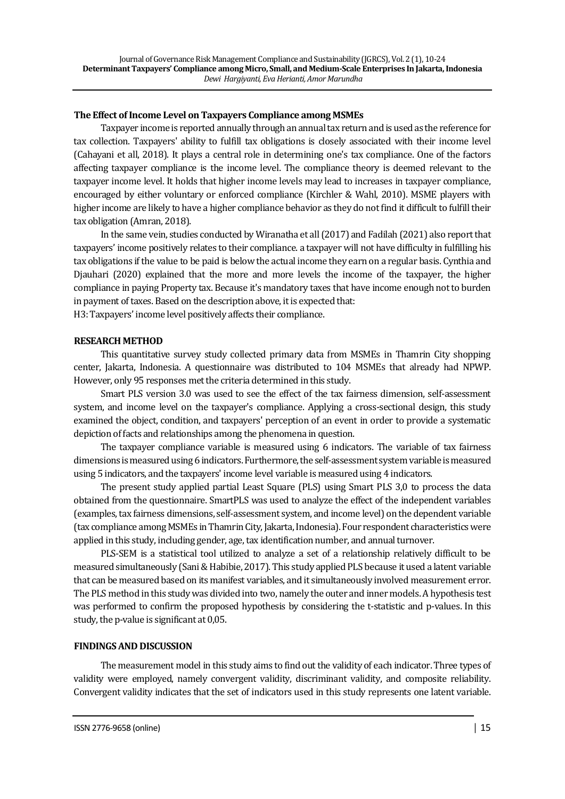### **The Effect of Income Level on Taxpayers Compliance among MSMEs**

Taxpayer income is reported annually through an annual tax return and is used as the reference for tax collection. Taxpayers' ability to fulfill tax obligations is closely associated with their income level (Cahayani et all, 2018). It plays a central role in determining one's tax compliance. One of the factors affecting taxpayer compliance is the income level. The compliance theory is deemed relevant to the taxpayer income level. It holds that higher income levels may lead to increases in taxpayer compliance, encouraged by either voluntary or enforced compliance (Kirchler & Wahl, 2010). MSME players with higher income are likely to have a higher compliance behavior as they do not find it difficult to fulfill their tax obligation (Amran, 2018).

In the same vein, studies conducted by Wiranatha et all (2017) and Fadilah (2021) also report that taxpayers' income positively relates to their compliance. a taxpayer will not have difficulty in fulfilling his tax obligations if the value to be paid is below the actual income they earn on a regular basis. Cynthia and Djauhari (2020) explained that the more and more levels the income of the taxpayer, the higher compliance in paying Property tax. Because it's mandatory taxes that have income enough not to burden in payment of taxes. Based on the description above, it is expected that:

H3: Taxpayers' income level positively affects their compliance.

#### **RESEARCH METHOD**

This quantitative survey study collected primary data from MSMEs in Thamrin City shopping center, Jakarta, Indonesia. A questionnaire was distributed to 104 MSMEs that already had NPWP. However, only 95 responses met the criteria determined in this study.

Smart PLS version 3.0 was used to see the effect of the tax fairness dimension, self-assessment system, and income level on the taxpayer's compliance. Applying a cross-sectional design, this study examined the object, condition, and taxpayers' perception of an event in order to provide a systematic depiction of facts and relationships among the phenomena in question.

The taxpayer compliance variable is measured using 6 indicators. The variable of tax fairness dimensions is measured using 6 indicators. Furthermore, the self-assessment system variable is measured using 5 indicators, and the taxpayers' income level variable is measured using 4 indicators.

The present study applied partial Least Square (PLS) using Smart PLS 3,0 to process the data obtained from the questionnaire. SmartPLS was used to analyze the effect of the independent variables (examples, tax fairness dimensions, self-assessment system, and income level) on the dependent variable (tax compliance among MSMEs in Thamrin City, Jakarta, Indonesia). Four respondent characteristics were applied in this study, including gender, age, tax identification number, and annual turnover.

PLS-SEM is a statistical tool utilized to analyze a set of a relationship relatively difficult to be measured simultaneously (Sani & Habibie, 2017). This study applied PLS because it used a latent variable that can be measured based on its manifest variables, and it simultaneously involved measurement error. The PLS method in this study was divided into two, namely the outer and inner models. A hypothesis test was performed to confirm the proposed hypothesis by considering the t-statistic and p-values. In this study, the p-value is significant at 0,05.

## **FINDINGS AND DISCUSSION**

The measurement model in this study aims to find out the validity of each indicator. Three types of validity were employed, namely convergent validity, discriminant validity, and composite reliability. Convergent validity indicates that the set of indicators used in this study represents one latent variable.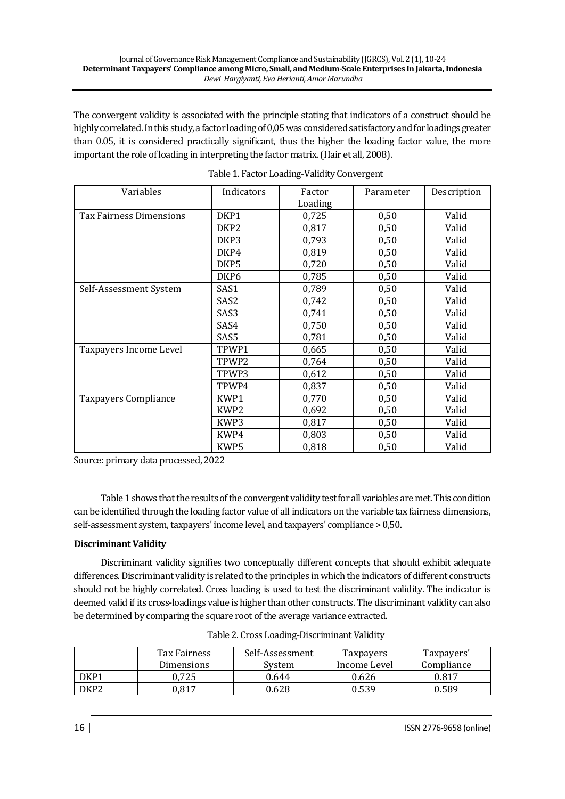The convergent validity is associated with the principle stating that indicators of a construct should be highly correlated. In this study, a factor loading of 0,05 was considered satisfactory and for loadings greater than 0.05, it is considered practically significant, thus the higher the loading factor value, the more important the role of loading in interpreting the factor matrix. (Hair et all, 2008).

| Variables                   | Indicators       | Factor  | Parameter | Description |
|-----------------------------|------------------|---------|-----------|-------------|
|                             |                  | Loading |           |             |
| Tax Fairness Dimensions     | DKP1             | 0,725   | 0,50      | Valid       |
|                             | DKP <sub>2</sub> | 0,817   | 0,50      | Valid       |
|                             | DKP3             | 0,793   | 0,50      | Valid       |
|                             | DKP4             | 0,819   | 0,50      | Valid       |
|                             | DKP5             | 0,720   | 0,50      | Valid       |
|                             | DKP <sub>6</sub> | 0,785   | 0,50      | Valid       |
| Self-Assessment System      | SAS1             | 0,789   | 0,50      | Valid       |
|                             | SAS <sub>2</sub> | 0,742   | 0,50      | Valid       |
|                             | SAS3             | 0,741   | 0,50      | Valid       |
|                             | SAS4             | 0,750   | 0,50      | Valid       |
|                             | SAS5             | 0,781   | 0,50      | Valid       |
| Taxpayers Income Level      | TPWP1            | 0,665   | 0,50      | Valid       |
|                             | TPWP2            | 0,764   | 0,50      | Valid       |
|                             | TPWP3            | 0,612   | 0,50      | Valid       |
|                             | TPWP4            | 0,837   | 0,50      | Valid       |
| <b>Taxpayers Compliance</b> | KWP1             | 0,770   | 0,50      | Valid       |
|                             | KWP <sub>2</sub> | 0,692   | 0,50      | Valid       |
|                             | KWP3             | 0,817   | 0,50      | Valid       |
|                             | KWP4             | 0,803   | 0,50      | Valid       |
|                             | KWP5             | 0,818   | 0,50      | Valid       |

|  | Table 1. Factor Loading-Validity Convergent |
|--|---------------------------------------------|
|  |                                             |

Source: primary data processed, 2022

Table 1 shows that the results of the convergent validity test for all variables are met. This condition can be identified through the loading factor value of all indicators on the variable tax fairness dimensions, self-assessment system, taxpayers' income level, and taxpayers' compliance > 0,50.

# **Discriminant Validity**

Discriminant validity signifies two conceptually different concepts that should exhibit adequate differences. Discriminant validity is related to the principles in which the indicators of different constructs should not be highly correlated. Cross loading is used to test the discriminant validity. The indicator is deemed valid if its cross-loadings value is higher than other constructs. The discriminant validity can also be determined by comparing the square root of the average variance extracted.

|      | Tax Fairness<br>Dimensions | Self-Assessment<br>Svstem | Taxpayers<br>Income Level | Taxpayers'<br>Compliance |
|------|----------------------------|---------------------------|---------------------------|--------------------------|
| DKP1 | 0.725                      | 0.644                     | 0.626                     | 0.817                    |
| DKP2 | 0.817                      | 0.628                     | 0.539                     | 0.589                    |

| Table 2. Cross Loading-Discriminant Validity |
|----------------------------------------------|
|----------------------------------------------|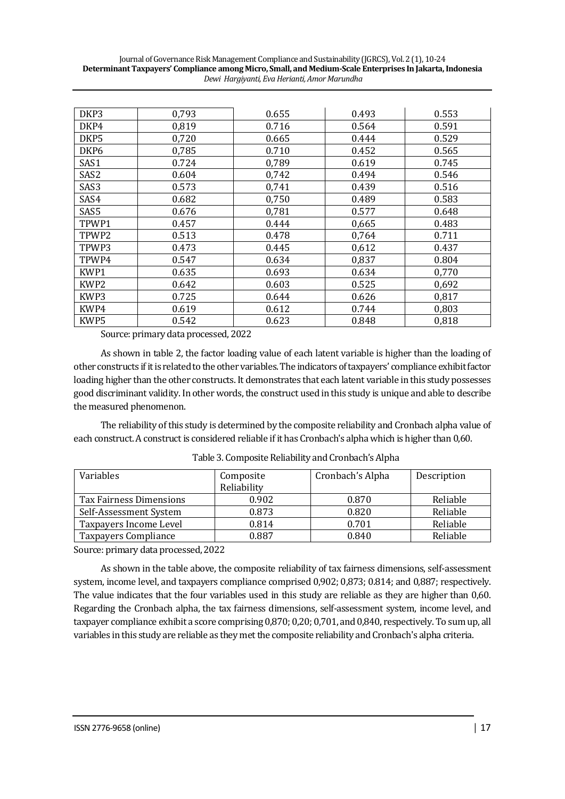| DKP3              | 0,793 | 0.655 | 0.493 | 0.553 |
|-------------------|-------|-------|-------|-------|
| DKP4              | 0,819 | 0.716 | 0.564 | 0.591 |
| DKP5              | 0,720 | 0.665 | 0.444 | 0.529 |
| DKP <sub>6</sub>  | 0,785 | 0.710 | 0.452 | 0.565 |
| SAS1              | 0.724 | 0,789 | 0.619 | 0.745 |
| SAS2              | 0.604 | 0,742 | 0.494 | 0.546 |
| SAS3              | 0.573 | 0,741 | 0.439 | 0.516 |
| SAS4              | 0.682 | 0,750 | 0.489 | 0.583 |
| SAS5              | 0.676 | 0,781 | 0.577 | 0.648 |
| TPWP1             | 0.457 | 0.444 | 0,665 | 0.483 |
| TPWP <sub>2</sub> | 0.513 | 0.478 | 0,764 | 0.711 |
| TPWP3             | 0.473 | 0.445 | 0,612 | 0.437 |
| TPWP4             | 0.547 | 0.634 | 0,837 | 0.804 |
| KWP <sub>1</sub>  | 0.635 | 0.693 | 0.634 | 0,770 |
| KWP <sub>2</sub>  | 0.642 | 0.603 | 0.525 | 0,692 |
| KWP3              | 0.725 | 0.644 | 0.626 | 0,817 |
| KWP4              | 0.619 | 0.612 | 0.744 | 0,803 |
| KWP5              | 0.542 | 0.623 | 0.848 | 0,818 |

Source: primary data processed, 2022

As shown in table 2, the factor loading value of each latent variable is higher than the loading of other constructs if it is related to the other variables. The indicators of taxpayers' compliance exhibit factor loading higher than the other constructs. It demonstrates that each latent variable in this study possesses good discriminant validity. In other words, the construct used in this study is unique and able to describe the measured phenomenon.

The reliability of this study is determined by the composite reliability and Cronbach alpha value of each construct. A construct is considered reliable if it has Cronbach's alpha which is higher than 0,60.

| Variables                   | Composite   | Cronbach's Alpha | Description |
|-----------------------------|-------------|------------------|-------------|
|                             | Reliability |                  |             |
| Tax Fairness Dimensions     | 0.902       | 0.870            | Reliable    |
| Self-Assessment System      | 0.873       | 0.820            | Reliable    |
| Taxpayers Income Level      | 0.814       | 0.701            | Reliable    |
| <b>Taxpayers Compliance</b> | 0.887       | 0.840            | Reliable    |

Table 3. Composite Reliability and Cronbach's Alpha

Source: primary data processed, 2022

As shown in the table above, the composite reliability of tax fairness dimensions, self-assessment system, income level, and taxpayers compliance comprised 0,902; 0,873; 0.814; and 0,887; respectively. The value indicates that the four variables used in this study are reliable as they are higher than 0,60. Regarding the Cronbach alpha, the tax fairness dimensions, self-assessment system, income level, and taxpayer compliance exhibit a score comprising 0,870; 0,20; 0,701, and 0,840, respectively. To sum up, all variables in this study are reliable as they met the composite reliability and Cronbach's alpha criteria.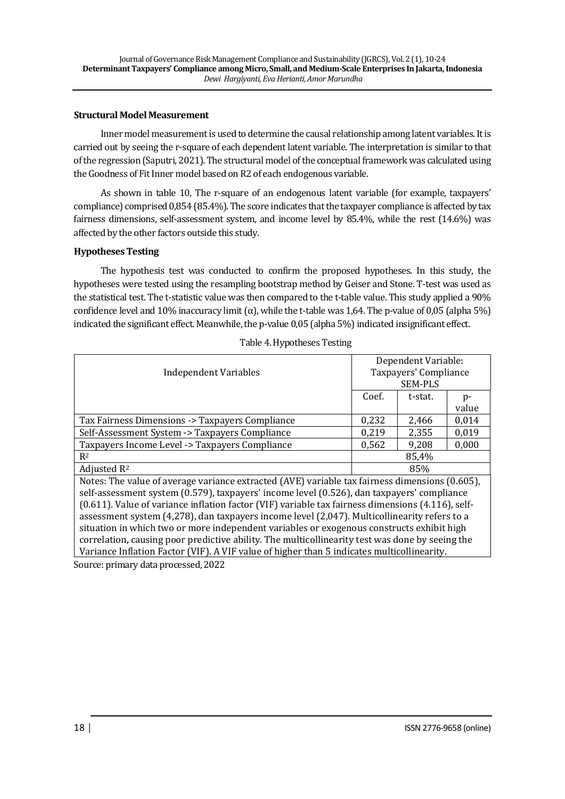#### **Structural Model Measurement**

Inner model measurement is used to determine the causal relationship among latent variables. It is carried out by seeing the r-square of each dependent latent variable. The interpretation is similar to that of the regression (Saputri, 2021). The structural model of the conceptual framework was calculated using the Goodness of Fit Inner model based on R2 of each endogenous variable.

As shown in table 10, The r-square of an endogenous latent variable (for example, taxpayers' compliance) comprised 0,854 (85.4%). The score indicates that the taxpayer compliance is affected by tax fairness dimensions, self-assessment system, and income level by 85.4%, while the rest (14.6%) was affected by the other factors outside this study.

## **Hypotheses Testing**

The hypothesis test was conducted to confirm the proposed hypotheses. In this study, the hypotheses were tested using the resampling bootstrap method by Geiser and Stone. T-test was used as the statistical test. The t-statistic value was then compared to the t-table value. This study applied a 90% confidence level and 10% inaccuracy limit (α), while the t-table was 1,64. The p-value of 0,05 (alpha 5%) indicated the significant effect. Meanwhile, the p-value 0,05 (alpha 5%) indicated insignificant effect.

| Taxpayers' Compliance<br><b>Independent Variables</b>                                             |                | Dependent Variable: |       |  |
|---------------------------------------------------------------------------------------------------|----------------|---------------------|-------|--|
|                                                                                                   |                |                     |       |  |
|                                                                                                   | <b>SEM-PLS</b> |                     |       |  |
|                                                                                                   | Coef.          | t-stat.             | $p-$  |  |
|                                                                                                   |                |                     | value |  |
| Tax Fairness Dimensions -> Taxpayers Compliance                                                   | 0,232          | 2,466               | 0,014 |  |
| Self-Assessment System -> Taxpayers Compliance                                                    | 0,219          | 2,355               | 0,019 |  |
| Taxpayers Income Level -> Taxpayers Compliance                                                    | 0,562          | 9,208               | 0,000 |  |
| $R^2$                                                                                             | 85,4%          |                     |       |  |
| Adjusted $R^2$                                                                                    | 85%            |                     |       |  |
| Notes: The value of average variance extracted (AVE) variable tax fairness dimensions (0.605),    |                |                     |       |  |
| self-assessment system (0.579), taxpayers' income level (0.526), dan taxpayers' compliance        |                |                     |       |  |
| (0.611). Value of variance inflation factor (VIF) variable tax fairness dimensions (4.116), self- |                |                     |       |  |
| assessment system (4,278), dan taxpayers income level (2,047). Multicollinearity refers to a      |                |                     |       |  |
| situation in which two or more independent variables or exogenous constructs exhibit high         |                |                     |       |  |
| correlation, causing poor predictive ability. The multicollinearity test was done by seeing the   |                |                     |       |  |
| Variance Inflation Factor (VIF). A VIF value of higher than 5 indicates multicollinearity.        |                |                     |       |  |
| Source: primary data processed, 2022                                                              |                |                     |       |  |

Table 4.Hypotheses Testing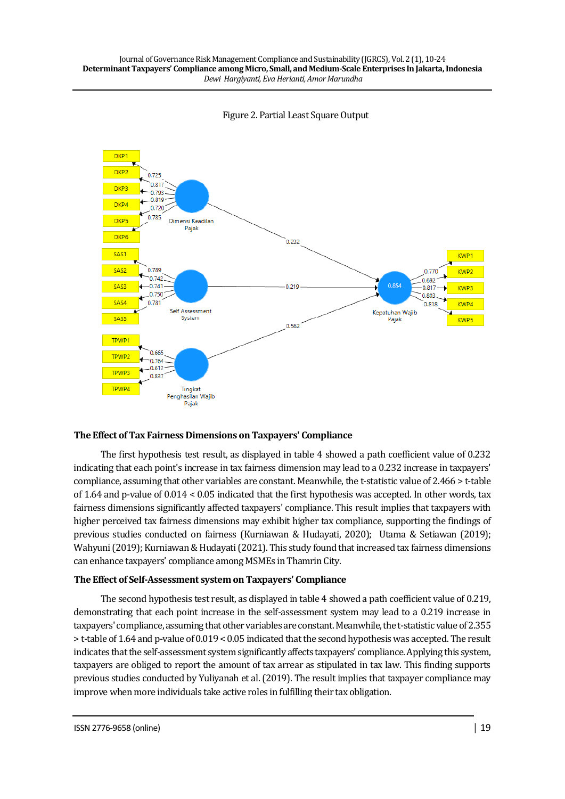



## **The Effect of Tax Fairness Dimensions on Taxpayers' Compliance**

The first hypothesis test result, as displayed in table 4 showed a path coefficient value of 0.232 indicating that each point's increase in tax fairness dimension may lead to a 0.232 increase in taxpayers' compliance, assuming that other variables are constant. Meanwhile, the t-statistic value of 2.466 > t-table of 1.64 and p-value of 0.014 < 0.05 indicated that the first hypothesis was accepted. In other words, tax fairness dimensions significantly affected taxpayers' compliance. This result implies that taxpayers with higher perceived tax fairness dimensions may exhibit higher tax compliance, supporting the findings of previous studies conducted on fairness (Kurniawan & Hudayati, 2020); Utama & Setiawan (2019); Wahyuni (2019); Kurniawan & Hudayati (2021). This study found that increased tax fairness dimensions can enhance taxpayers' compliance among MSMEs in Thamrin City.

#### **The Effect of Self-Assessment system on Taxpayers' Compliance**

The second hypothesis test result, as displayed in table 4 showed a path coefficient value of 0.219, demonstrating that each point increase in the self-assessment system may lead to a 0.219 increase in taxpayers' compliance, assuming that other variables are constant. Meanwhile, the t-statistic value of 2.355 > t-table of 1.64 and p-value of 0.019 < 0.05 indicated that the second hypothesis was accepted. The result indicates that the self-assessment system significantly affects taxpayers' compliance. Applying this system, taxpayers are obliged to report the amount of tax arrear as stipulated in tax law. This finding supports previous studies conducted by Yuliyanah et al. (2019). The result implies that taxpayer compliance may improve when more individuals take active roles in fulfilling their tax obligation.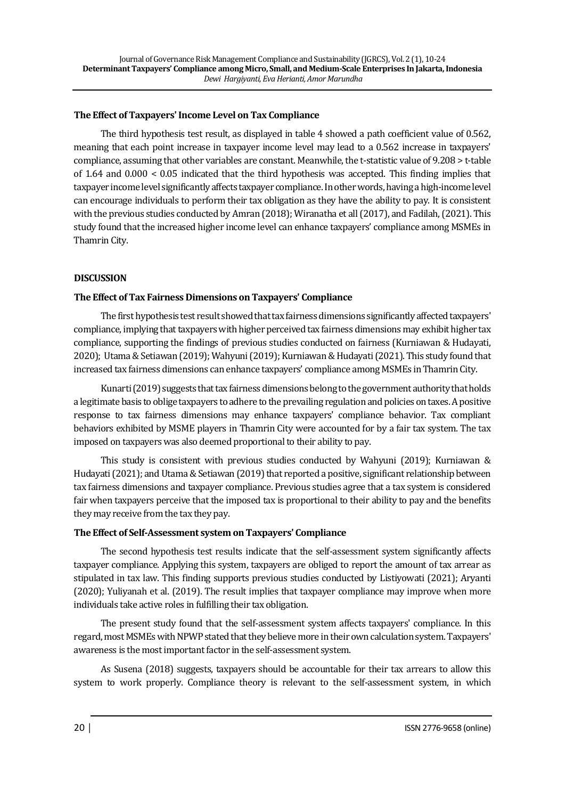### **The Effect of Taxpayers' Income Level on Tax Compliance**

The third hypothesis test result, as displayed in table 4 showed a path coefficient value of 0.562, meaning that each point increase in taxpayer income level may lead to a 0.562 increase in taxpayers' compliance, assuming that other variables are constant. Meanwhile, the t-statistic value of 9.208 > t-table of 1.64 and 0.000 < 0.05 indicated that the third hypothesis was accepted. This finding implies that taxpayer income level significantly affects taxpayer compliance. In other words, having a high-income level can encourage individuals to perform their tax obligation as they have the ability to pay. It is consistent with the previous studies conducted by Amran (2018); Wiranatha et all (2017), and Fadilah, (2021). This study found that the increased higher income level can enhance taxpayers' compliance among MSMEs in Thamrin City.

## **DISCUSSION**

### **The Effect of Tax Fairness Dimensions on Taxpayers' Compliance**

The first hypothesis test result showed that tax fairness dimensions significantly affected taxpayers' compliance, implying that taxpayers with higher perceived tax fairness dimensions may exhibit higher tax compliance, supporting the findings of previous studies conducted on fairness (Kurniawan & Hudayati, 2020); Utama & Setiawan (2019); Wahyuni (2019); Kurniawan & Hudayati (2021). This study found that increased tax fairness dimensions can enhance taxpayers' compliance among MSMEs in Thamrin City.

Kunarti (2019) suggests that tax fairness dimensions belong to the government authority that holds a legitimate basis to oblige taxpayers to adhere to the prevailing regulation and policies on taxes. A positive response to tax fairness dimensions may enhance taxpayers' compliance behavior. Tax compliant behaviors exhibited by MSME players in Thamrin City were accounted for by a fair tax system. The tax imposed on taxpayers was also deemed proportional to their ability to pay.

This study is consistent with previous studies conducted by Wahyuni (2019); Kurniawan & Hudayati (2021); and Utama & Setiawan (2019) that reported a positive, significant relationship between tax fairness dimensions and taxpayer compliance. Previous studies agree that a tax system is considered fair when taxpayers perceive that the imposed tax is proportional to their ability to pay and the benefits they may receive from the tax they pay.

#### **The Effect of Self-Assessment system on Taxpayers' Compliance**

The second hypothesis test results indicate that the self-assessment system significantly affects taxpayer compliance. Applying this system, taxpayers are obliged to report the amount of tax arrear as stipulated in tax law. This finding supports previous studies conducted by Listiyowati (2021); Aryanti (2020); Yuliyanah et al. (2019). The result implies that taxpayer compliance may improve when more individuals take active roles in fulfilling their tax obligation.

The present study found that the self-assessment system affects taxpayers' compliance. In this regard, most MSMEs with NPWP stated that they believe more in their own calculation system.Taxpayers' awareness is the most important factor in the self-assessment system.

As Susena (2018) suggests, taxpayers should be accountable for their tax arrears to allow this system to work properly. Compliance theory is relevant to the self-assessment system, in which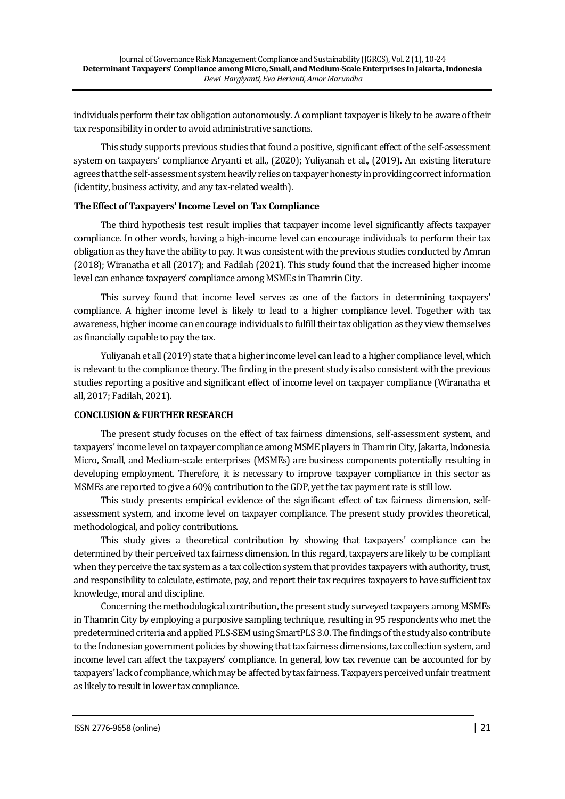individuals perform their tax obligation autonomously. A compliant taxpayer is likely to be aware of their tax responsibility in order to avoid administrative sanctions.

This study supports previous studies that found a positive, significant effect of the self-assessment system on taxpayers' compliance Aryanti et all., (2020); Yuliyanah et al., (2019). An existing literature agrees that the self-assessment system heavily relies on taxpayer honesty in providing correct information (identity, business activity, and any tax-related wealth).

## **The Effect of Taxpayers' Income Level on Tax Compliance**

The third hypothesis test result implies that taxpayer income level significantly affects taxpayer compliance. In other words, having a high-income level can encourage individuals to perform their tax obligation as they have the ability to pay. It was consistent with the previous studies conducted by Amran (2018); Wiranatha et all (2017); and Fadilah (2021). This study found that the increased higher income level can enhance taxpayers' compliance among MSMEs in Thamrin City.

This survey found that income level serves as one of the factors in determining taxpayers' compliance. A higher income level is likely to lead to a higher compliance level. Together with tax awareness, higher income can encourage individuals to fulfill their tax obligation as they view themselves as financially capable to pay the tax.

Yuliyanah et all (2019) state that a higher income level can lead to a higher compliance level, which is relevant to the compliance theory. The finding in the present study is also consistent with the previous studies reporting a positive and significant effect of income level on taxpayer compliance (Wiranatha et all, 2017; Fadilah, 2021).

# **CONCLUSION & FURTHER RESEARCH**

The present study focuses on the effect of tax fairness dimensions, self-assessment system, and taxpayers' income level on taxpayer compliance among MSME players in Thamrin City, Jakarta, Indonesia. Micro, Small, and Medium-scale enterprises (MSMEs) are business components potentially resulting in developing employment. Therefore, it is necessary to improve taxpayer compliance in this sector as MSMEs are reported to give a 60% contribution to the GDP, yet the tax payment rate is still low.

This study presents empirical evidence of the significant effect of tax fairness dimension, selfassessment system, and income level on taxpayer compliance. The present study provides theoretical, methodological, and policy contributions.

This study gives a theoretical contribution by showing that taxpayers' compliance can be determined by their perceived tax fairness dimension. In this regard, taxpayers are likely to be compliant when they perceive the tax system as a tax collection system that provides taxpayers with authority, trust, and responsibility to calculate, estimate, pay, and report their tax requires taxpayers to have sufficient tax knowledge, moral and discipline.

Concerning the methodological contribution, the present study surveyed taxpayers among MSMEs in Thamrin City by employing a purposive sampling technique, resulting in 95 respondents who met the predetermined criteria and applied PLS-SEM using SmartPLS 3.0. The findings of the study also contribute to the Indonesian government policies by showing that tax fairness dimensions, tax collection system, and income level can affect the taxpayers' compliance. In general, low tax revenue can be accounted for by taxpayers' lack of compliance, which may be affected by tax fairness. Taxpayers perceived unfair treatment as likely to result in lower tax compliance.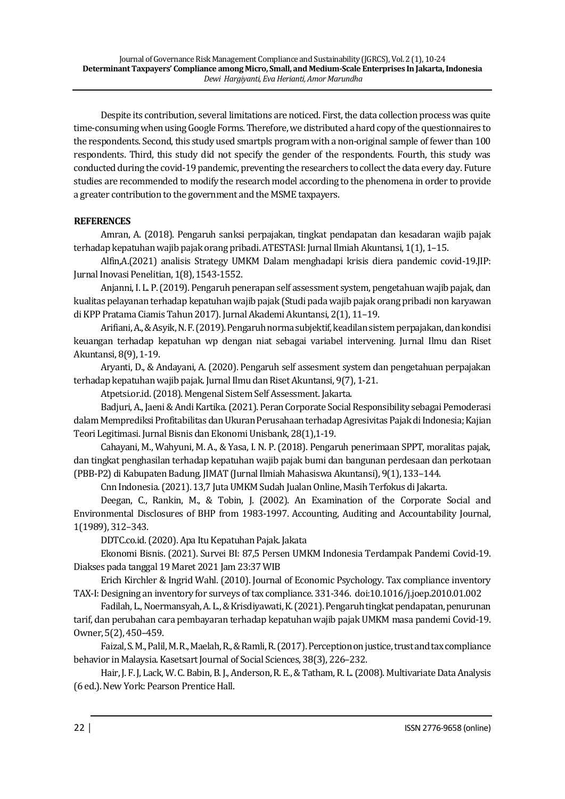Despite its contribution, several limitations are noticed. First, the data collection process was quite time-consuming when using Google Forms. Therefore, we distributed a hard copy of the questionnaires to the respondents. Second, this study used smartpls program with a non-original sample of fewer than 100 respondents. Third, this study did not specify the gender of the respondents. Fourth, this study was conducted during the covid-19 pandemic, preventing the researchers to collect the data every day. Future studies are recommended to modify the research model according to the phenomena in order to provide a greater contribution to the government and the MSME taxpayers.

## **REFERENCES**

Amran, A. (2018). Pengaruh sanksi perpajakan, tingkat pendapatan dan kesadaran wajib pajak terhadap kepatuhan wajib pajak orang pribadi. ATESTASI: Jurnal Ilmiah Akuntansi, 1(1), 1–15.

Alfin,A.(2021) analisis Strategy UMKM Dalam menghadapi krisis diera pandemic covid-19.JIP: Jurnal Inovasi Penelitian, 1(8), 1543-1552.

Anjanni, I. L. P. (2019). Pengaruh penerapan self assessment system, pengetahuan wajib pajak, dan kualitas pelayanan terhadap kepatuhan wajib pajak (Studi pada wajib pajak orang pribadi non karyawan di KPP Pratama Ciamis Tahun 2017). Jurnal Akademi Akuntansi, 2(1), 11–19.

Arifiani, A., & Asyik, N. F. (2019). Pengaruh norma subjektif, keadilan sistem perpajakan, dan kondisi keuangan terhadap kepatuhan wp dengan niat sebagai variabel intervening. Jurnal Ilmu dan Riset Akuntansi, 8(9), 1-19.

Aryanti, D., & Andayani, A. (2020). Pengaruh self assesment system dan pengetahuan perpajakan terhadap kepatuhan wajib pajak. Jurnal Ilmu dan Riset Akuntansi, 9(7), 1-21.

Atpetsi.or.id. (2018). Mengenal Sistem Self Assessment. Jakarta.

Badjuri, A., Jaeni & Andi Kartika. (2021). Peran Corporate Social Responsibility sebagai Pemoderasi dalam Memprediksi Profitabilitas dan Ukuran Perusahaan terhadap Agresivitas Pajak di Indonesia; Kajian Teori Legitimasi. Jurnal Bisnis dan Ekonomi Unisbank, 28(1),1-19.

Cahayani, M., Wahyuni, M. A., & Yasa, I. N. P. (2018). Pengaruh penerimaan SPPT, moralitas pajak, dan tingkat penghasilan terhadap kepatuhan wajib pajak bumi dan bangunan perdesaan dan perkotaan (PBB-P2) di Kabupaten Badung. JIMAT (Jurnal Ilmiah Mahasiswa Akuntansi), 9(1), 133–144.

Cnn Indonesia. (2021). 13,7 Juta UMKM Sudah Jualan Online, Masih Terfokus di Jakarta.

Deegan, C., Rankin, M., & Tobin, J. (2002). An Examination of the Corporate Social and Environmental Disclosures of BHP from 1983-1997. Accounting, Auditing and Accountability Journal, 1(1989), 312–343.

DDTC.co.id. (2020). Apa Itu Kepatuhan Pajak. Jakata

Ekonomi Bisnis. (2021). Survei BI: 87,5 Persen UMKM Indonesia Terdampak Pandemi Covid-19. Diakses pada tanggal 19 Maret 2021 Jam 23:37 WIB

Erich Kirchler & Ingrid Wahl. (2010). Journal of Economic Psychology. Tax compliance inventory TAX-I: Designing an inventory for surveys of tax compliance. 331-346. doi:10.1016/j.joep.2010.01.002

Fadilah, L., Noermansyah, A. L., & Krisdiyawati, K. (2021). Pengaruh tingkat pendapatan, penurunan tarif, dan perubahan cara pembayaran terhadap kepatuhan wajib pajak UMKM masa pandemi Covid-19. Owner, 5(2), 450–459.

Faizal, S. M., Palil, M. R., Maelah, R., & Ramli, R. (2017). Perception on justice, trust and tax compliance behavior in Malaysia. Kasetsart Journal of Social Sciences, 38(3), 226–232.

Hair, J. F. J, Lack, W. C. Babin, B. J., Anderson, R. E., & Tatham, R. L. (2008). Multivariate Data Analysis (6 ed.). New York: Pearson Prentice Hall.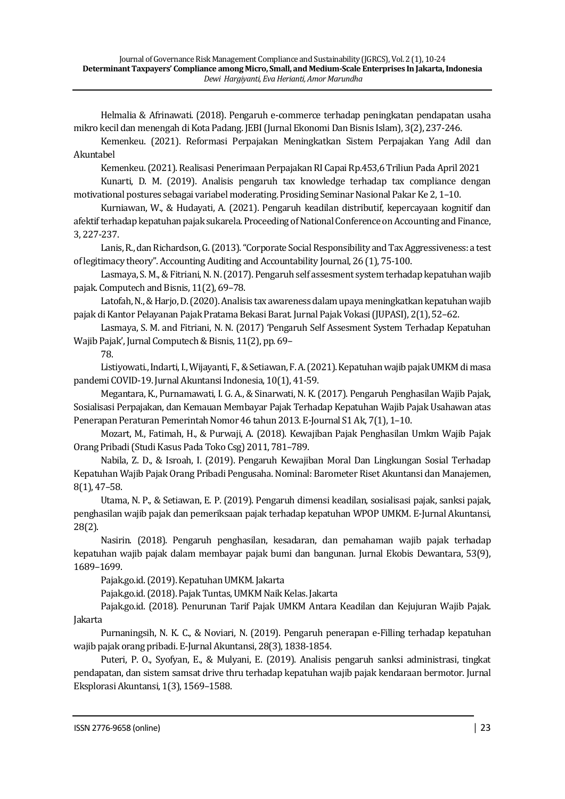Helmalia & Afrinawati. (2018). Pengaruh e-commerce terhadap peningkatan pendapatan usaha mikro kecil dan menengah di Kota Padang. JEBI (Jurnal Ekonomi Dan Bisnis Islam), 3(2), 237-246.

Kemenkeu. (2021). Reformasi Perpajakan Meningkatkan Sistem Perpajakan Yang Adil dan Akuntabel

Kemenkeu. (2021). Realisasi Penerimaan Perpajakan RI Capai Rp.453,6 Triliun Pada April 2021

Kunarti, D. M. (2019). Analisis pengaruh tax knowledge terhadap tax compliance dengan motivational postures sebagai variabel moderating. Prosiding Seminar Nasional Pakar Ke 2, 1–10.

Kurniawan, W., & Hudayati, A. (2021). Pengaruh keadilan distributif, kepercayaan kognitif dan afektif terhadap kepatuhan pajak sukarela. Proceeding of National Conference on Accounting and Finance, 3, 227-237.

Lanis, R., dan Richardson, G. (2013). "Corporate Social Responsibility and Tax Aggressiveness: a test of legitimacy theory". Accounting Auditing and Accountability Journal, 26 (1), 75-100.

Lasmaya, S. M., & Fitriani, N. N. (2017). Pengaruh self assesment system terhadap kepatuhan wajib pajak. Computech and Bisnis, 11(2), 69–78.

Latofah, N., & Harjo, D. (2020). Analisis tax awareness dalam upaya meningkatkan kepatuhan wajib pajak di Kantor Pelayanan Pajak Pratama Bekasi Barat. Jurnal Pajak Vokasi (JUPASI), 2(1), 52–62.

Lasmaya, S. M. and Fitriani, N. N. (2017) 'Pengaruh Self Assesment System Terhadap Kepatuhan Wajib Pajak', Jurnal Computech & Bisnis, 11(2), pp. 69–

78.

Listiyowati., Indarti, I., Wijayanti,F., & Setiawan, F. A. (2021). Kepatuhan wajib pajak UMKM di masa pandemi COVID-19. Jurnal Akuntansi Indonesia, 10(1), 41-59.

Megantara, K., Purnamawati, I. G. A., & Sinarwati, N. K. (2017). Pengaruh Penghasilan Wajib Pajak, Sosialisasi Perpajakan, dan Kemauan Membayar Pajak Terhadap Kepatuhan Wajib Pajak Usahawan atas Penerapan Peraturan Pemerintah Nomor 46 tahun 2013. E-Journal S1 Ak, 7(1), 1–10.

Mozart, M., Fatimah, H., & Purwaji, A. (2018). Kewajiban Pajak Penghasilan Umkm Wajib Pajak Orang Pribadi (Studi Kasus Pada Toko Csg) 2011, 781–789.

Nabila, Z. D., & Isroah, I. (2019). Pengaruh Kewajiban Moral Dan Lingkungan Sosial Terhadap Kepatuhan Wajib Pajak Orang Pribadi Pengusaha. Nominal: Barometer Riset Akuntansi dan Manajemen, 8(1), 47–58.

Utama, N. P., & Setiawan, E. P. (2019). Pengaruh dimensi keadilan, sosialisasi pajak, sanksi pajak, penghasilan wajib pajak dan pemeriksaan pajak terhadap kepatuhan WPOP UMKM. E-Jurnal Akuntansi, 28(2).

Nasirin. (2018). Pengaruh penghasilan, kesadaran, dan pemahaman wajib pajak terhadap kepatuhan wajib pajak dalam membayar pajak bumi dan bangunan. Jurnal Ekobis Dewantara, 53(9), 1689–1699.

Pajak.go.id. (2019). Kepatuhan UMKM. Jakarta

Pajak.go.id. (2018). Pajak Tuntas, UMKM Naik Kelas. Jakarta

Pajak.go.id. (2018). Penurunan Tarif Pajak UMKM Antara Keadilan dan Kejujuran Wajib Pajak. Jakarta

Purnaningsih, N. K. C., & Noviari, N. (2019). Pengaruh penerapan e-Filling terhadap kepatuhan wajib pajak orang pribadi. E-Jurnal Akuntansi, 28(3), 1838-1854.

Puteri, P. O., Syofyan, E., & Mulyani, E. (2019). Analisis pengaruh sanksi administrasi, tingkat pendapatan, dan sistem samsat drive thru terhadap kepatuhan wajib pajak kendaraan bermotor. Jurnal Eksplorasi Akuntansi, 1(3), 1569–1588.